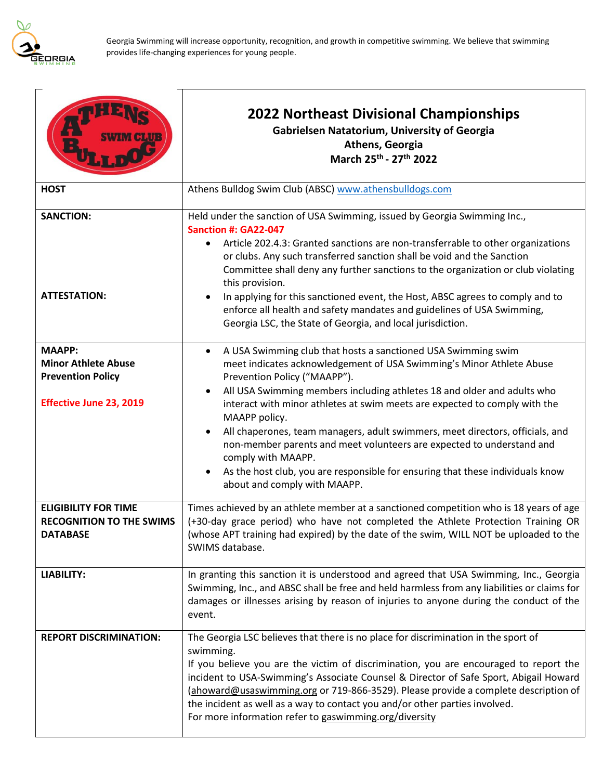

|                                                                                                           | <b>2022 Northeast Divisional Championships</b><br><b>Gabrielsen Natatorium, University of Georgia</b><br>Athens, Georgia<br>March 25th - 27th 2022                                                                                                                                                                                                                                                                                                                                                                                                                                                                                                                                                    |
|-----------------------------------------------------------------------------------------------------------|-------------------------------------------------------------------------------------------------------------------------------------------------------------------------------------------------------------------------------------------------------------------------------------------------------------------------------------------------------------------------------------------------------------------------------------------------------------------------------------------------------------------------------------------------------------------------------------------------------------------------------------------------------------------------------------------------------|
| <b>HOST</b>                                                                                               | Athens Bulldog Swim Club (ABSC) www.athensbulldogs.com                                                                                                                                                                                                                                                                                                                                                                                                                                                                                                                                                                                                                                                |
| <b>SANCTION:</b><br><b>ATTESTATION:</b>                                                                   | Held under the sanction of USA Swimming, issued by Georgia Swimming Inc.,<br>Sanction #: GA22-047<br>Article 202.4.3: Granted sanctions are non-transferrable to other organizations<br>$\bullet$<br>or clubs. Any such transferred sanction shall be void and the Sanction<br>Committee shall deny any further sanctions to the organization or club violating<br>this provision.<br>In applying for this sanctioned event, the Host, ABSC agrees to comply and to<br>$\bullet$<br>enforce all health and safety mandates and guidelines of USA Swimming,<br>Georgia LSC, the State of Georgia, and local jurisdiction.                                                                              |
| <b>MAAPP:</b><br><b>Minor Athlete Abuse</b><br><b>Prevention Policy</b><br><b>Effective June 23, 2019</b> | A USA Swimming club that hosts a sanctioned USA Swimming swim<br>$\bullet$<br>meet indicates acknowledgement of USA Swimming's Minor Athlete Abuse<br>Prevention Policy ("MAAPP").<br>All USA Swimming members including athletes 18 and older and adults who<br>$\bullet$<br>interact with minor athletes at swim meets are expected to comply with the<br>MAAPP policy.<br>All chaperones, team managers, adult swimmers, meet directors, officials, and<br>$\bullet$<br>non-member parents and meet volunteers are expected to understand and<br>comply with MAAPP.<br>As the host club, you are responsible for ensuring that these individuals know<br>$\bullet$<br>about and comply with MAAPP. |
| <b>ELIGIBILITY FOR TIME</b><br><b>RECOGNITION TO THE SWIMS</b><br><b>DATABASE</b>                         | Times achieved by an athlete member at a sanctioned competition who is 18 years of age<br>(+30-day grace period) who have not completed the Athlete Protection Training OR<br>(whose APT training had expired) by the date of the swim, WILL NOT be uploaded to the<br>SWIMS database.                                                                                                                                                                                                                                                                                                                                                                                                                |
| <b>LIABILITY:</b>                                                                                         | In granting this sanction it is understood and agreed that USA Swimming, Inc., Georgia<br>Swimming, Inc., and ABSC shall be free and held harmless from any liabilities or claims for<br>damages or illnesses arising by reason of injuries to anyone during the conduct of the<br>event.                                                                                                                                                                                                                                                                                                                                                                                                             |
| <b>REPORT DISCRIMINATION:</b>                                                                             | The Georgia LSC believes that there is no place for discrimination in the sport of<br>swimming.<br>If you believe you are the victim of discrimination, you are encouraged to report the<br>incident to USA-Swimming's Associate Counsel & Director of Safe Sport, Abigail Howard<br>(ahoward@usaswimming.org or 719-866-3529). Please provide a complete description of<br>the incident as well as a way to contact you and/or other parties involved.<br>For more information refer to gaswimming.org/diversity                                                                                                                                                                                     |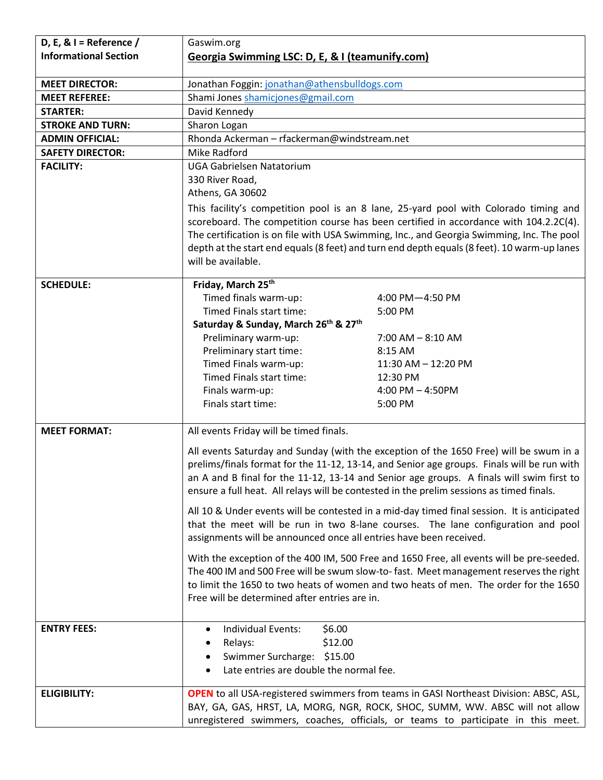| D, E, & $I =$ Reference /    | Gaswim.org                                                         |                                                                                                                                                                               |  |
|------------------------------|--------------------------------------------------------------------|-------------------------------------------------------------------------------------------------------------------------------------------------------------------------------|--|
| <b>Informational Section</b> | Georgia Swimming LSC: D, E, & I (teamunify.com)                    |                                                                                                                                                                               |  |
|                              |                                                                    |                                                                                                                                                                               |  |
| <b>MEET DIRECTOR:</b>        | Jonathan Foggin: jonathan@athensbulldogs.com                       |                                                                                                                                                                               |  |
| <b>MEET REFEREE:</b>         | Shami Jones shamicjones@gmail.com                                  |                                                                                                                                                                               |  |
| <b>STARTER:</b>              | David Kennedy                                                      |                                                                                                                                                                               |  |
| <b>STROKE AND TURN:</b>      | Sharon Logan                                                       |                                                                                                                                                                               |  |
| <b>ADMIN OFFICIAL:</b>       | Rhonda Ackerman - rfackerman@windstream.net                        |                                                                                                                                                                               |  |
| <b>SAFETY DIRECTOR:</b>      | Mike Radford                                                       |                                                                                                                                                                               |  |
| <b>FACILITY:</b>             | <b>UGA Gabrielsen Natatorium</b>                                   |                                                                                                                                                                               |  |
|                              | 330 River Road,                                                    |                                                                                                                                                                               |  |
|                              | Athens, GA 30602                                                   |                                                                                                                                                                               |  |
|                              |                                                                    | This facility's competition pool is an 8 lane, 25-yard pool with Colorado timing and                                                                                          |  |
|                              |                                                                    | scoreboard. The competition course has been certified in accordance with 104.2.2C(4).                                                                                         |  |
|                              |                                                                    | The certification is on file with USA Swimming, Inc., and Georgia Swimming, Inc. The pool                                                                                     |  |
|                              |                                                                    | depth at the start end equals (8 feet) and turn end depth equals (8 feet). 10 warm-up lanes                                                                                   |  |
|                              | will be available.                                                 |                                                                                                                                                                               |  |
| <b>SCHEDULE:</b>             | Friday, March 25th                                                 |                                                                                                                                                                               |  |
|                              | Timed finals warm-up:                                              | 4:00 PM-4:50 PM                                                                                                                                                               |  |
|                              | Timed Finals start time:                                           | 5:00 PM                                                                                                                                                                       |  |
|                              | Saturday & Sunday, March 26th & 27th                               |                                                                                                                                                                               |  |
|                              | Preliminary warm-up:                                               | $7:00$ AM $-$ 8:10 AM                                                                                                                                                         |  |
|                              | Preliminary start time:                                            | 8:15 AM                                                                                                                                                                       |  |
|                              | Timed Finals warm-up:                                              | 11:30 AM - 12:20 PM                                                                                                                                                           |  |
|                              | Timed Finals start time:                                           | 12:30 PM                                                                                                                                                                      |  |
|                              | Finals warm-up:                                                    | 4:00 PM $-$ 4:50PM                                                                                                                                                            |  |
|                              | Finals start time:                                                 | 5:00 PM                                                                                                                                                                       |  |
|                              |                                                                    |                                                                                                                                                                               |  |
| <b>MEET FORMAT:</b>          | All events Friday will be timed finals.                            |                                                                                                                                                                               |  |
|                              |                                                                    | All events Saturday and Sunday (with the exception of the 1650 Free) will be swum in a                                                                                        |  |
|                              |                                                                    | prelims/finals format for the 11-12, 13-14, and Senior age groups. Finals will be run with                                                                                    |  |
|                              |                                                                    | an A and B final for the 11-12, 13-14 and Senior age groups. A finals will swim first to                                                                                      |  |
|                              |                                                                    | ensure a full heat. All relays will be contested in the prelim sessions as timed finals.                                                                                      |  |
|                              |                                                                    | All 10 & Under events will be contested in a mid-day timed final session. It is anticipated                                                                                   |  |
|                              |                                                                    | that the meet will be run in two 8-lane courses. The lane configuration and pool                                                                                              |  |
|                              | assignments will be announced once all entries have been received. |                                                                                                                                                                               |  |
|                              |                                                                    |                                                                                                                                                                               |  |
|                              |                                                                    | With the exception of the 400 IM, 500 Free and 1650 Free, all events will be pre-seeded.                                                                                      |  |
|                              |                                                                    | The 400 IM and 500 Free will be swum slow-to-fast. Meet management reserves the right<br>to limit the 1650 to two heats of women and two heats of men. The order for the 1650 |  |
|                              | Free will be determined after entries are in.                      |                                                                                                                                                                               |  |
|                              |                                                                    |                                                                                                                                                                               |  |
| <b>ENTRY FEES:</b>           | <b>Individual Events:</b><br>\$6.00<br>$\bullet$                   |                                                                                                                                                                               |  |
|                              | \$12.00<br>Relays:<br>٠                                            |                                                                                                                                                                               |  |
|                              | Swimmer Surcharge: \$15.00                                         |                                                                                                                                                                               |  |
|                              | ٠<br>Late entries are double the normal fee.<br>$\bullet$          |                                                                                                                                                                               |  |
|                              |                                                                    |                                                                                                                                                                               |  |
| <b>ELIGIBILITY:</b>          |                                                                    | <b>OPEN</b> to all USA-registered swimmers from teams in GASI Northeast Division: ABSC, ASL,                                                                                  |  |
|                              |                                                                    | BAY, GA, GAS, HRST, LA, MORG, NGR, ROCK, SHOC, SUMM, WW. ABSC will not allow                                                                                                  |  |
|                              |                                                                    | unregistered swimmers, coaches, officials, or teams to participate in this meet.                                                                                              |  |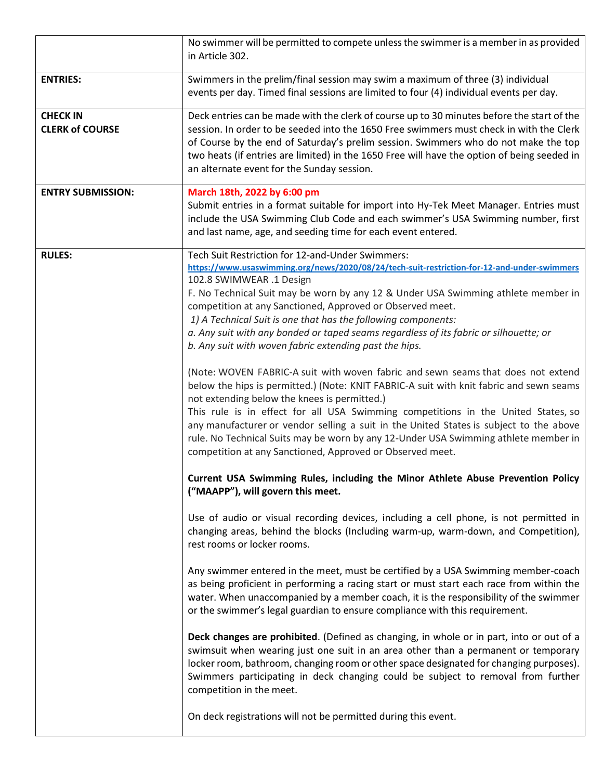|                          | No swimmer will be permitted to compete unless the swimmer is a member in as provided<br>in Article 302.                                                                                                                                                                                                                                                                                                   |
|--------------------------|------------------------------------------------------------------------------------------------------------------------------------------------------------------------------------------------------------------------------------------------------------------------------------------------------------------------------------------------------------------------------------------------------------|
| <b>ENTRIES:</b>          | Swimmers in the prelim/final session may swim a maximum of three (3) individual<br>events per day. Timed final sessions are limited to four (4) individual events per day.                                                                                                                                                                                                                                 |
| <b>CHECK IN</b>          | Deck entries can be made with the clerk of course up to 30 minutes before the start of the                                                                                                                                                                                                                                                                                                                 |
| <b>CLERK of COURSE</b>   | session. In order to be seeded into the 1650 Free swimmers must check in with the Clerk<br>of Course by the end of Saturday's prelim session. Swimmers who do not make the top<br>two heats (if entries are limited) in the 1650 Free will have the option of being seeded in<br>an alternate event for the Sunday session.                                                                                |
| <b>ENTRY SUBMISSION:</b> | March 18th, 2022 by 6:00 pm<br>Submit entries in a format suitable for import into Hy-Tek Meet Manager. Entries must<br>include the USA Swimming Club Code and each swimmer's USA Swimming number, first<br>and last name, age, and seeding time for each event entered.                                                                                                                                   |
| <b>RULES:</b>            | Tech Suit Restriction for 12-and-Under Swimmers:                                                                                                                                                                                                                                                                                                                                                           |
|                          | https://www.usaswimming.org/news/2020/08/24/tech-suit-restriction-for-12-and-under-swimmers<br>102.8 SWIMWEAR .1 Design                                                                                                                                                                                                                                                                                    |
|                          | F. No Technical Suit may be worn by any 12 & Under USA Swimming athlete member in                                                                                                                                                                                                                                                                                                                          |
|                          | competition at any Sanctioned, Approved or Observed meet.                                                                                                                                                                                                                                                                                                                                                  |
|                          | 1) A Technical Suit is one that has the following components:                                                                                                                                                                                                                                                                                                                                              |
|                          | a. Any suit with any bonded or taped seams regardless of its fabric or silhouette; or                                                                                                                                                                                                                                                                                                                      |
|                          | b. Any suit with woven fabric extending past the hips.                                                                                                                                                                                                                                                                                                                                                     |
|                          | (Note: WOVEN FABRIC-A suit with woven fabric and sewn seams that does not extend<br>below the hips is permitted.) (Note: KNIT FABRIC-A suit with knit fabric and sewn seams<br>not extending below the knees is permitted.)<br>This rule is in effect for all USA Swimming competitions in the United States, so<br>any manufacturer or vendor selling a suit in the United States is subject to the above |
|                          | rule. No Technical Suits may be worn by any 12-Under USA Swimming athlete member in<br>competition at any Sanctioned, Approved or Observed meet.                                                                                                                                                                                                                                                           |
|                          | Current USA Swimming Rules, including the Minor Athlete Abuse Prevention Policy<br>("MAAPP"), will govern this meet.                                                                                                                                                                                                                                                                                       |
|                          | Use of audio or visual recording devices, including a cell phone, is not permitted in<br>changing areas, behind the blocks (Including warm-up, warm-down, and Competition),<br>rest rooms or locker rooms.                                                                                                                                                                                                 |
|                          | Any swimmer entered in the meet, must be certified by a USA Swimming member-coach<br>as being proficient in performing a racing start or must start each race from within the<br>water. When unaccompanied by a member coach, it is the responsibility of the swimmer<br>or the swimmer's legal guardian to ensure compliance with this requirement.                                                       |
|                          | Deck changes are prohibited. (Defined as changing, in whole or in part, into or out of a<br>swimsuit when wearing just one suit in an area other than a permanent or temporary<br>locker room, bathroom, changing room or other space designated for changing purposes).<br>Swimmers participating in deck changing could be subject to removal from further<br>competition in the meet.                   |
|                          | On deck registrations will not be permitted during this event.                                                                                                                                                                                                                                                                                                                                             |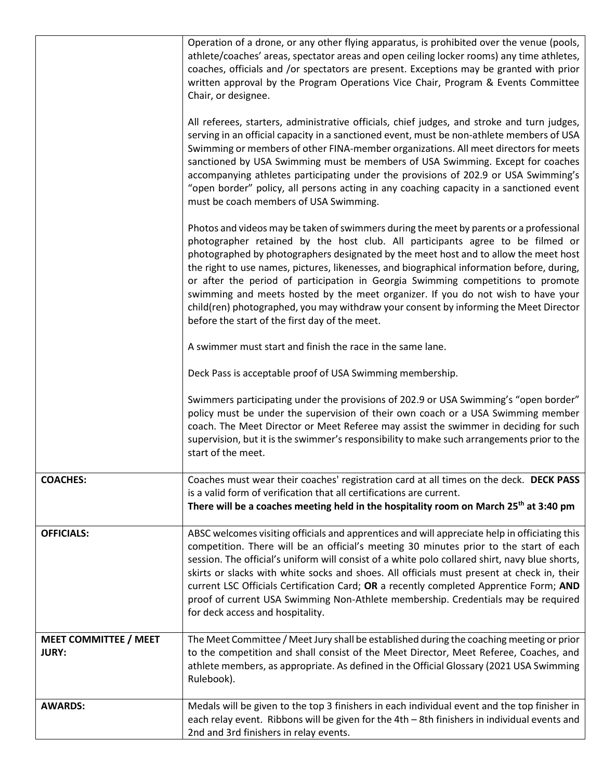|                                              | Operation of a drone, or any other flying apparatus, is prohibited over the venue (pools,<br>athlete/coaches' areas, spectator areas and open ceiling locker rooms) any time athletes,<br>coaches, officials and /or spectators are present. Exceptions may be granted with prior<br>written approval by the Program Operations Vice Chair, Program & Events Committee<br>Chair, or designee.                                                                                                                                                                                                                                                                                      |
|----------------------------------------------|------------------------------------------------------------------------------------------------------------------------------------------------------------------------------------------------------------------------------------------------------------------------------------------------------------------------------------------------------------------------------------------------------------------------------------------------------------------------------------------------------------------------------------------------------------------------------------------------------------------------------------------------------------------------------------|
|                                              | All referees, starters, administrative officials, chief judges, and stroke and turn judges,<br>serving in an official capacity in a sanctioned event, must be non-athlete members of USA<br>Swimming or members of other FINA-member organizations. All meet directors for meets<br>sanctioned by USA Swimming must be members of USA Swimming. Except for coaches<br>accompanying athletes participating under the provisions of 202.9 or USA Swimming's<br>"open border" policy, all persons acting in any coaching capacity in a sanctioned event<br>must be coach members of USA Swimming.                                                                                     |
|                                              | Photos and videos may be taken of swimmers during the meet by parents or a professional<br>photographer retained by the host club. All participants agree to be filmed or<br>photographed by photographers designated by the meet host and to allow the meet host<br>the right to use names, pictures, likenesses, and biographical information before, during,<br>or after the period of participation in Georgia Swimming competitions to promote<br>swimming and meets hosted by the meet organizer. If you do not wish to have your<br>child(ren) photographed, you may withdraw your consent by informing the Meet Director<br>before the start of the first day of the meet. |
|                                              | A swimmer must start and finish the race in the same lane.                                                                                                                                                                                                                                                                                                                                                                                                                                                                                                                                                                                                                         |
|                                              | Deck Pass is acceptable proof of USA Swimming membership.                                                                                                                                                                                                                                                                                                                                                                                                                                                                                                                                                                                                                          |
|                                              | Swimmers participating under the provisions of 202.9 or USA Swimming's "open border"<br>policy must be under the supervision of their own coach or a USA Swimming member<br>coach. The Meet Director or Meet Referee may assist the swimmer in deciding for such<br>supervision, but it is the swimmer's responsibility to make such arrangements prior to the<br>start of the meet.                                                                                                                                                                                                                                                                                               |
| <b>COACHES:</b>                              | Coaches must wear their coaches' registration card at all times on the deck. DECK PASS<br>is a valid form of verification that all certifications are current.<br>There will be a coaches meeting held in the hospitality room on March 25 <sup>th</sup> at 3:40 pm                                                                                                                                                                                                                                                                                                                                                                                                                |
| <b>OFFICIALS:</b>                            | ABSC welcomes visiting officials and apprentices and will appreciate help in officiating this<br>competition. There will be an official's meeting 30 minutes prior to the start of each<br>session. The official's uniform will consist of a white polo collared shirt, navy blue shorts,<br>skirts or slacks with white socks and shoes. All officials must present at check in, their<br>current LSC Officials Certification Card; OR a recently completed Apprentice Form; AND<br>proof of current USA Swimming Non-Athlete membership. Credentials may be required<br>for deck access and hospitality.                                                                         |
| <b>MEET COMMITTEE / MEET</b><br><b>JURY:</b> | The Meet Committee / Meet Jury shall be established during the coaching meeting or prior<br>to the competition and shall consist of the Meet Director, Meet Referee, Coaches, and<br>athlete members, as appropriate. As defined in the Official Glossary (2021 USA Swimming<br>Rulebook).                                                                                                                                                                                                                                                                                                                                                                                         |
| <b>AWARDS:</b>                               | Medals will be given to the top 3 finishers in each individual event and the top finisher in<br>each relay event. Ribbons will be given for the 4th - 8th finishers in individual events and<br>2nd and 3rd finishers in relay events.                                                                                                                                                                                                                                                                                                                                                                                                                                             |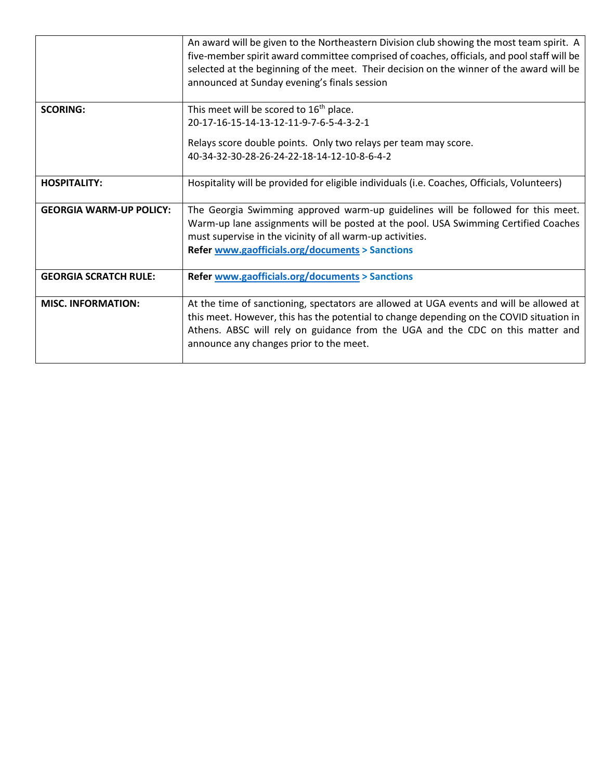|                                | An award will be given to the Northeastern Division club showing the most team spirit. A<br>five-member spirit award committee comprised of coaches, officials, and pool staff will be<br>selected at the beginning of the meet. Their decision on the winner of the award will be<br>announced at Sunday evening's finals session |
|--------------------------------|------------------------------------------------------------------------------------------------------------------------------------------------------------------------------------------------------------------------------------------------------------------------------------------------------------------------------------|
| <b>SCORING:</b>                | This meet will be scored to 16 <sup>th</sup> place.                                                                                                                                                                                                                                                                                |
|                                | 20-17-16-15-14-13-12-11-9-7-6-5-4-3-2-1                                                                                                                                                                                                                                                                                            |
|                                | Relays score double points. Only two relays per team may score.                                                                                                                                                                                                                                                                    |
|                                | 40-34-32-30-28-26-24-22-18-14-12-10-8-6-4-2                                                                                                                                                                                                                                                                                        |
| <b>HOSPITALITY:</b>            | Hospitality will be provided for eligible individuals (i.e. Coaches, Officials, Volunteers)                                                                                                                                                                                                                                        |
| <b>GEORGIA WARM-UP POLICY:</b> | The Georgia Swimming approved warm-up guidelines will be followed for this meet.                                                                                                                                                                                                                                                   |
|                                | Warm-up lane assignments will be posted at the pool. USA Swimming Certified Coaches                                                                                                                                                                                                                                                |
|                                | must supervise in the vicinity of all warm-up activities.                                                                                                                                                                                                                                                                          |
|                                | <b>Refer www.gaofficials.org/documents &gt; Sanctions</b>                                                                                                                                                                                                                                                                          |
| <b>GEORGIA SCRATCH RULE:</b>   | <b>Refer www.gaofficials.org/documents &gt; Sanctions</b>                                                                                                                                                                                                                                                                          |
| <b>MISC. INFORMATION:</b>      | At the time of sanctioning, spectators are allowed at UGA events and will be allowed at<br>this meet. However, this has the potential to change depending on the COVID situation in<br>Athens. ABSC will rely on guidance from the UGA and the CDC on this matter and<br>announce any changes prior to the meet.                   |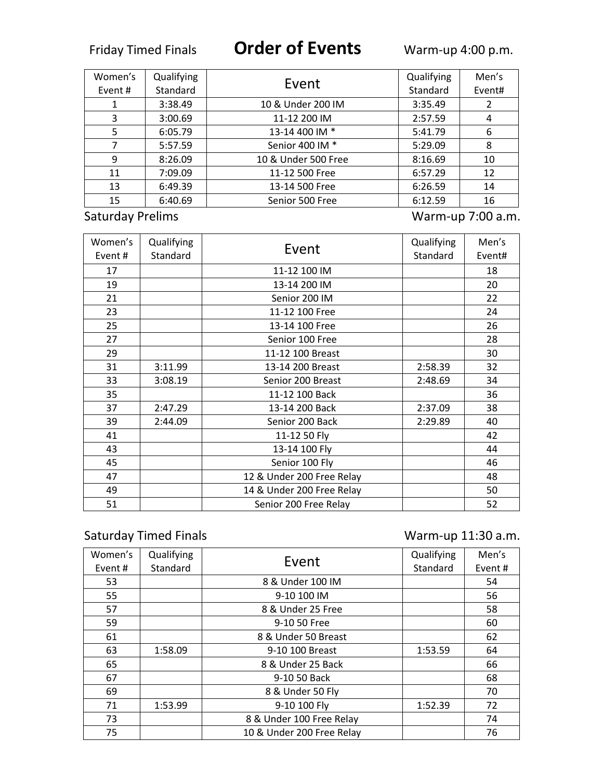| Women's                 | Qualifying |                     | Qualifying | Men's             |
|-------------------------|------------|---------------------|------------|-------------------|
| Event#                  | Standard   | Event               | Standard   | Event#            |
| 1                       | 3:38.49    | 10 & Under 200 IM   | 3:35.49    | 2                 |
| 3                       | 3:00.69    | 11-12 200 IM        | 2:57.59    | 4                 |
| 5                       | 6:05.79    | 13-14 400 IM *      | 5:41.79    | 6                 |
| 7                       | 5:57.59    | Senior 400 IM *     | 5:29.09    | 8                 |
| 9                       | 8:26.09    | 10 & Under 500 Free | 8:16.69    | 10                |
| 11                      | 7:09.09    | 11-12 500 Free      | 6:57.29    | 12                |
| 13                      | 6:49.39    | 13-14 500 Free      | 6:26.59    | 14                |
| 15                      | 6:40.69    | Senior 500 Free     | 6:12.59    | 16                |
| <b>Saturday Prelims</b> |            |                     |            | Warm-up 7:00 a.m. |

| Women's<br>Event # | Qualifying<br>Standard | Event                     | Qualifying<br>Standard | Men's<br>Event# |
|--------------------|------------------------|---------------------------|------------------------|-----------------|
| 17                 |                        | 11-12 100 IM              |                        | 18              |
| 19                 |                        | 13-14 200 IM              |                        | 20              |
| 21                 |                        | Senior 200 IM             |                        | 22              |
| 23                 |                        | 11-12 100 Free            |                        | 24              |
| 25                 |                        | 13-14 100 Free            |                        | 26              |
| 27                 |                        | Senior 100 Free           |                        | 28              |
| 29                 |                        | 11-12 100 Breast          |                        | 30              |
| 31                 | 3:11.99                | 13-14 200 Breast          | 2:58.39                | 32              |
| 33                 | 3:08.19                | Senior 200 Breast         | 2:48.69                | 34              |
| 35                 |                        | 11-12 100 Back            |                        | 36              |
| 37                 | 2:47.29                | 13-14 200 Back            | 2:37.09                | 38              |
| 39                 | 2:44.09                | Senior 200 Back           | 2:29.89                | 40              |
| 41                 |                        | 11-12 50 Fly              |                        | 42              |
| 43                 |                        | 13-14 100 Fly             |                        | 44              |
| 45                 |                        | Senior 100 Fly            |                        | 46              |
| 47                 |                        | 12 & Under 200 Free Relay |                        | 48              |
| 49                 |                        | 14 & Under 200 Free Relay |                        | 50              |
| 51                 |                        | Senior 200 Free Relay     |                        | 52              |

## Saturday Timed Finals **Warm-up 11:30 a.m.**

| Women's | Qualifying |                           | Qualifying | Men's  |
|---------|------------|---------------------------|------------|--------|
| Event # | Standard   | Event                     | Standard   | Event# |
| 53      |            | 8 & Under 100 IM          |            | 54     |
| 55      |            | 9-10 100 IM               |            | 56     |
| 57      |            | 8 & Under 25 Free         |            | 58     |
| 59      |            | 9-10 50 Free              |            | 60     |
| 61      |            | 8 & Under 50 Breast       |            | 62     |
| 63      | 1:58.09    | 9-10 100 Breast           | 1:53.59    | 64     |
| 65      |            | 8 & Under 25 Back         |            | 66     |
| 67      |            | 9-10 50 Back              |            | 68     |
| 69      |            | 8 & Under 50 Fly          |            | 70     |
| 71      | 1:53.99    | 9-10 100 Fly              | 1:52.39    | 72     |
| 73      |            | 8 & Under 100 Free Relay  |            | 74     |
| 75      |            | 10 & Under 200 Free Relay |            | 76     |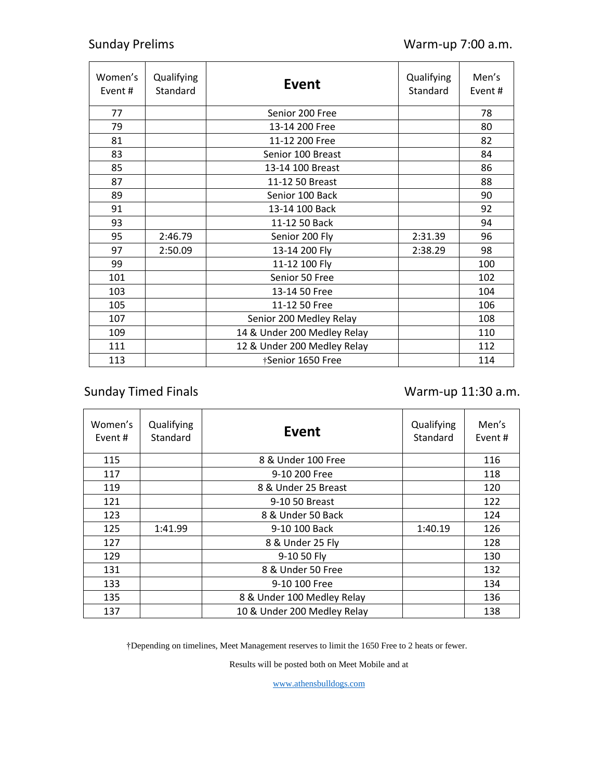| Women's<br>Event# | Qualifying<br>Standard | Event                       | Qualifying<br>Standard | Men's<br>Event# |
|-------------------|------------------------|-----------------------------|------------------------|-----------------|
| 77                |                        | Senior 200 Free             |                        | 78              |
| 79                |                        | 13-14 200 Free              |                        | 80              |
| 81                |                        | 11-12 200 Free              |                        | 82              |
| 83                |                        | Senior 100 Breast           |                        | 84              |
| 85                |                        | 13-14 100 Breast            |                        | 86              |
| 87                |                        | 11-12 50 Breast             |                        | 88              |
| 89                |                        | Senior 100 Back             |                        | 90              |
| 91                |                        | 13-14 100 Back              |                        | 92              |
| 93                |                        | 11-12 50 Back               |                        | 94              |
| 95                | 2:46.79                | Senior 200 Fly              | 2:31.39                | 96              |
| 97                | 2:50.09                | 13-14 200 Fly               | 2:38.29                | 98              |
| 99                |                        | 11-12 100 Fly               |                        | 100             |
| 101               |                        | Senior 50 Free              |                        | 102             |
| 103               |                        | 13-14 50 Free               |                        | 104             |
| 105               |                        | 11-12 50 Free               |                        | 106             |
| 107               |                        | Senior 200 Medley Relay     |                        | 108             |
| 109               |                        | 14 & Under 200 Medley Relay |                        | 110             |
| 111               |                        | 12 & Under 200 Medley Relay |                        | 112             |
| 113               |                        | <b>Senior 1650 Free</b>     |                        | 114             |

## Sunday Timed Finals **Warm-up 11:30 a.m.**

| Women's<br>Event# | Qualifying<br>Standard | Event                       | Qualifying<br>Standard | Men's<br>Event# |
|-------------------|------------------------|-----------------------------|------------------------|-----------------|
| 115               |                        | 8 & Under 100 Free          |                        | 116             |
| 117               |                        | 9-10 200 Free               |                        | 118             |
| 119               |                        | 8 & Under 25 Breast         |                        | 120             |
| 121               |                        | 9-10 50 Breast              |                        | 122             |
| 123               |                        | 8 & Under 50 Back           |                        | 124             |
| 125               | 1:41.99                | 9-10 100 Back               | 1:40.19                | 126             |
| 127               |                        | 8 & Under 25 Fly            |                        | 128             |
| 129               |                        | 9-10 50 Fly                 |                        | 130             |
| 131               |                        | 8 & Under 50 Free           |                        | 132             |
| 133               |                        | 9-10 100 Free               |                        | 134             |
| 135               |                        | 8 & Under 100 Medley Relay  |                        | 136             |
| 137               |                        | 10 & Under 200 Medley Relay |                        | 138             |

†Depending on timelines, Meet Management reserves to limit the 1650 Free to 2 heats or fewer.

Results will be posted both on Meet Mobile and at

[www.athensbulldogs.com](about:blank)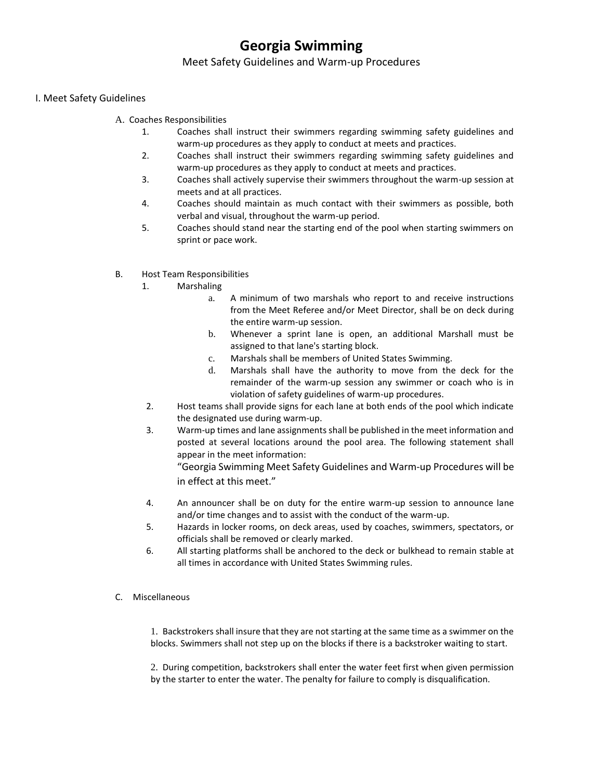## **Georgia Swimming**

#### Meet Safety Guidelines and Warm-up Procedures

#### I. Meet Safety Guidelines

- A. Coaches Responsibilities
	- 1. Coaches shall instruct their swimmers regarding swimming safety guidelines and warm-up procedures as they apply to conduct at meets and practices.
	- 2. Coaches shall instruct their swimmers regarding swimming safety guidelines and warm-up procedures as they apply to conduct at meets and practices.
	- 3. Coaches shall actively supervise their swimmers throughout the warm-up session at meets and at all practices.
	- 4. Coaches should maintain as much contact with their swimmers as possible, both verbal and visual, throughout the warm-up period.
	- 5. Coaches should stand near the starting end of the pool when starting swimmers on sprint or pace work.
- B. Host Team Responsibilities
	- 1. Marshaling
		- a. A minimum of two marshals who report to and receive instructions from the Meet Referee and/or Meet Director, shall be on deck during the entire warm-up session.
		- b. Whenever a sprint lane is open, an additional Marshall must be assigned to that lane's starting block.
		- c. Marshals shall be members of United States Swimming.
		- d. Marshals shall have the authority to move from the deck for the remainder of the warm-up session any swimmer or coach who is in violation of safety guidelines of warm-up procedures.
	- 2. Host teams shall provide signs for each lane at both ends of the pool which indicate the designated use during warm-up.
	- 3. Warm-up times and lane assignments shall be published in the meet information and posted at several locations around the pool area. The following statement shall appear in the meet information:

"Georgia Swimming Meet Safety Guidelines and Warm-up Procedures will be in effect at this meet."

- 4. An announcer shall be on duty for the entire warm-up session to announce lane and/or time changes and to assist with the conduct of the warm-up.
- 5. Hazards in locker rooms, on deck areas, used by coaches, swimmers, spectators, or officials shall be removed or clearly marked.
- 6. All starting platforms shall be anchored to the deck or bulkhead to remain stable at all times in accordance with United States Swimming rules.
- C. Miscellaneous

1. Backstrokers shall insure that they are not starting at the same time as a swimmer on the blocks. Swimmers shall not step up on the blocks if there is a backstroker waiting to start.

2. During competition, backstrokers shall enter the water feet first when given permission by the starter to enter the water. The penalty for failure to comply is disqualification.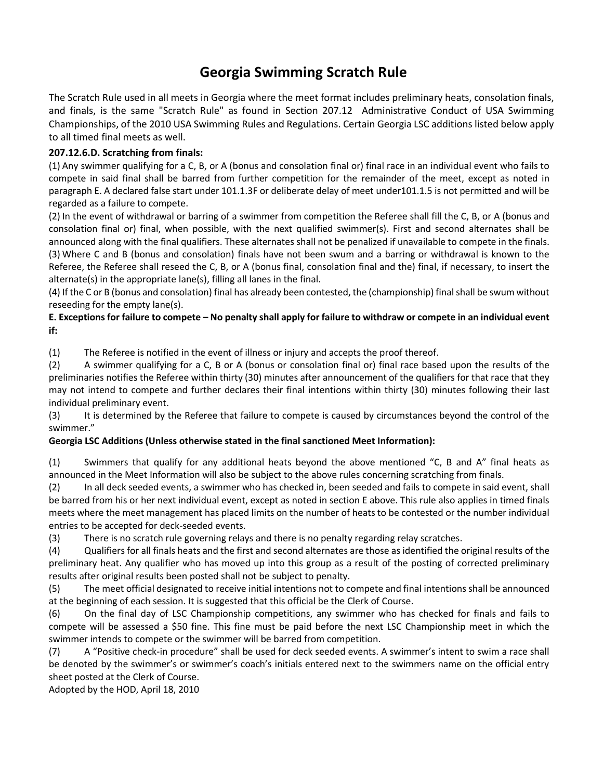## **Georgia Swimming Scratch Rule**

The Scratch Rule used in all meets in Georgia where the meet format includes preliminary heats, consolation finals, and finals, is the same "Scratch Rule" as found in Section 207.12 Administrative Conduct of USA Swimming Championships, of the 2010 USA Swimming Rules and Regulations. Certain Georgia LSC additions listed below apply to all timed final meets as well.

#### **207.12.6.D. Scratching from finals:**

(1) Any swimmer qualifying for a C, B, or A (bonus and consolation final or) final race in an individual event who fails to compete in said final shall be barred from further competition for the remainder of the meet, except as noted in paragraph E. A declared false start under 101.1.3F or deliberate delay of meet under101.1.5 is not permitted and will be regarded as a failure to compete.

(2) In the event of withdrawal or barring of a swimmer from competition the Referee shall fill the C, B, or A (bonus and consolation final or) final, when possible, with the next qualified swimmer(s). First and second alternates shall be announced along with the final qualifiers. These alternates shall not be penalized if unavailable to compete in the finals. (3) Where C and B (bonus and consolation) finals have not been swum and a barring or withdrawal is known to the Referee, the Referee shall reseed the C, B, or A (bonus final, consolation final and the) final, if necessary, to insert the alternate(s) in the appropriate lane(s), filling all lanes in the final.

(4) If the C or B (bonus and consolation) final has already been contested, the (championship) final shall be swum without reseeding for the empty lane(s).

#### **E. Exceptions for failure to compete – No penalty shall apply for failure to withdraw or compete in an individual event if:**

(1) The Referee is notified in the event of illness or injury and accepts the proof thereof.

(2) A swimmer qualifying for a C, B or A (bonus or consolation final or) final race based upon the results of the preliminaries notifies the Referee within thirty (30) minutes after announcement of the qualifiers for that race that they may not intend to compete and further declares their final intentions within thirty (30) minutes following their last individual preliminary event.

(3) It is determined by the Referee that failure to compete is caused by circumstances beyond the control of the swimmer."

#### **Georgia LSC Additions (Unless otherwise stated in the final sanctioned Meet Information):**

(1) Swimmers that qualify for any additional heats beyond the above mentioned "C, B and A" final heats as announced in the Meet Information will also be subject to the above rules concerning scratching from finals.

(2) In all deck seeded events, a swimmer who has checked in, been seeded and fails to compete in said event, shall be barred from his or her next individual event, except as noted in section E above. This rule also applies in timed finals meets where the meet management has placed limits on the number of heats to be contested or the number individual entries to be accepted for deck-seeded events.

(3) There is no scratch rule governing relays and there is no penalty regarding relay scratches.

(4) Qualifiers for all finals heats and the first and second alternates are those as identified the original results of the preliminary heat. Any qualifier who has moved up into this group as a result of the posting of corrected preliminary results after original results been posted shall not be subject to penalty.

(5) The meet official designated to receive initial intentions not to compete and final intentions shall be announced at the beginning of each session. It is suggested that this official be the Clerk of Course.

(6) On the final day of LSC Championship competitions, any swimmer who has checked for finals and fails to compete will be assessed a \$50 fine. This fine must be paid before the next LSC Championship meet in which the swimmer intends to compete or the swimmer will be barred from competition.

(7) A "Positive check-in procedure" shall be used for deck seeded events. A swimmer's intent to swim a race shall be denoted by the swimmer's or swimmer's coach's initials entered next to the swimmers name on the official entry sheet posted at the Clerk of Course.

Adopted by the HOD, April 18, 2010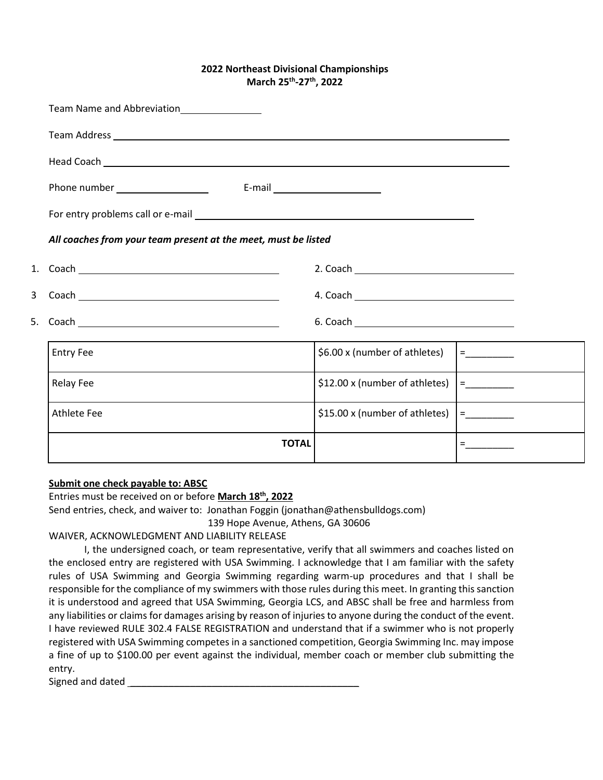#### **2022 Northeast Divisional Championships March 25th -27th, 2022**

|    | Team Name and Abbreviation<br><u>Leam Name and Abbreviation</u>       |                                |                                |
|----|-----------------------------------------------------------------------|--------------------------------|--------------------------------|
|    |                                                                       |                                |                                |
|    |                                                                       |                                |                                |
|    | Phone number _____________________<br>E-mail ________________________ |                                |                                |
|    |                                                                       |                                |                                |
|    | All coaches from your team present at the meet, must be listed        |                                |                                |
|    |                                                                       |                                |                                |
| 3  |                                                                       |                                |                                |
| 5. |                                                                       |                                |                                |
|    | <b>Entry Fee</b>                                                      | \$6.00 x (number of athletes)  | <b>E</b> _________             |
|    | <b>Relay Fee</b>                                                      | \$12.00 x (number of athletes) | $\Xi$ and $\Xi$ and $\Xi$      |
|    | Athlete Fee                                                           | \$15.00 x (number of athletes) |                                |
|    | <b>TOTAL</b>                                                          |                                | $\equiv$ 100 minutes of $\sim$ |

#### **Submit one check payable to: ABSC**

Entries must be received on or before **March 18th, 2022**

Send entries, check, and waiver to: Jonathan Foggin (jonathan@athensbulldogs.com)

139 Hope Avenue, Athens, GA 30606

#### WAIVER, ACKNOWLEDGMENT AND LIABILITY RELEASE

I, the undersigned coach, or team representative, verify that all swimmers and coaches listed on the enclosed entry are registered with USA Swimming. I acknowledge that I am familiar with the safety rules of USA Swimming and Georgia Swimming regarding warm-up procedures and that I shall be responsible for the compliance of my swimmers with those rules during this meet. In granting this sanction it is understood and agreed that USA Swimming, Georgia LCS, and ABSC shall be free and harmless from any liabilities or claims for damages arising by reason of injuries to anyone during the conduct of the event. I have reviewed RULE 302.4 FALSE REGISTRATION and understand that if a swimmer who is not properly registered with USA Swimming competes in a sanctioned competition, Georgia Swimming Inc. may impose a fine of up to \$100.00 per event against the individual, member coach or member club submitting the entry.

Signed and dated \_\_\_\_\_\_\_\_\_\_\_\_\_\_\_\_\_\_\_\_\_\_\_\_\_\_\_\_\_\_\_\_\_\_\_\_\_\_\_\_\_\_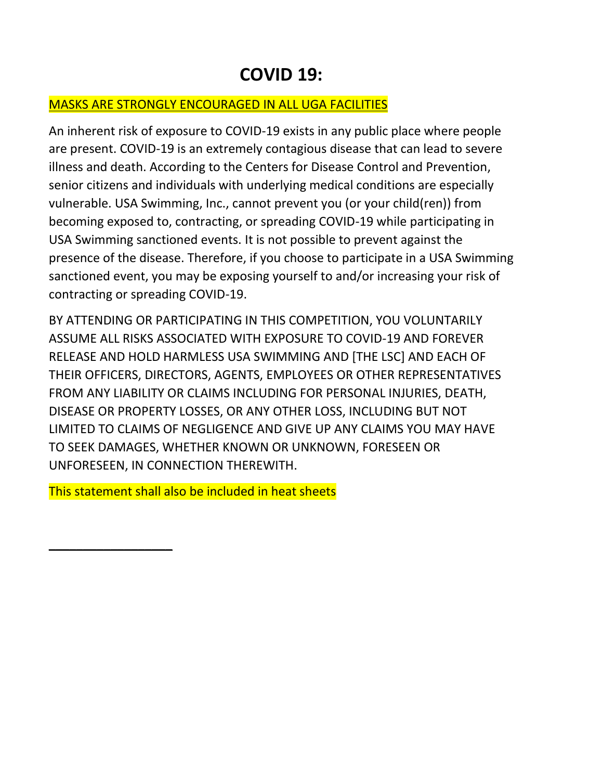## **COVID 19:**

## MASKS ARE STRONGLY ENCOURAGED IN ALL UGA FACILITIES

An inherent risk of exposure to COVID-19 exists in any public place where people are present. COVID-19 is an extremely contagious disease that can lead to severe illness and death. According to the Centers for Disease Control and Prevention, senior citizens and individuals with underlying medical conditions are especially vulnerable. USA Swimming, Inc., cannot prevent you (or your child(ren)) from becoming exposed to, contracting, or spreading COVID-19 while participating in USA Swimming sanctioned events. It is not possible to prevent against the presence of the disease. Therefore, if you choose to participate in a USA Swimming sanctioned event, you may be exposing yourself to and/or increasing your risk of contracting or spreading COVID-19.

BY ATTENDING OR PARTICIPATING IN THIS COMPETITION, YOU VOLUNTARILY ASSUME ALL RISKS ASSOCIATED WITH EXPOSURE TO COVID-19 AND FOREVER RELEASE AND HOLD HARMLESS USA SWIMMING AND [THE LSC] AND EACH OF THEIR OFFICERS, DIRECTORS, AGENTS, EMPLOYEES OR OTHER REPRESENTATIVES FROM ANY LIABILITY OR CLAIMS INCLUDING FOR PERSONAL INJURIES, DEATH, DISEASE OR PROPERTY LOSSES, OR ANY OTHER LOSS, INCLUDING BUT NOT LIMITED TO CLAIMS OF NEGLIGENCE AND GIVE UP ANY CLAIMS YOU MAY HAVE TO SEEK DAMAGES, WHETHER KNOWN OR UNKNOWN, FORESEEN OR UNFORESEEN, IN CONNECTION THEREWITH.

This statement shall also be included in heat sheets

**\_\_\_\_\_\_\_\_\_\_\_\_\_\_\_\_\_\_**